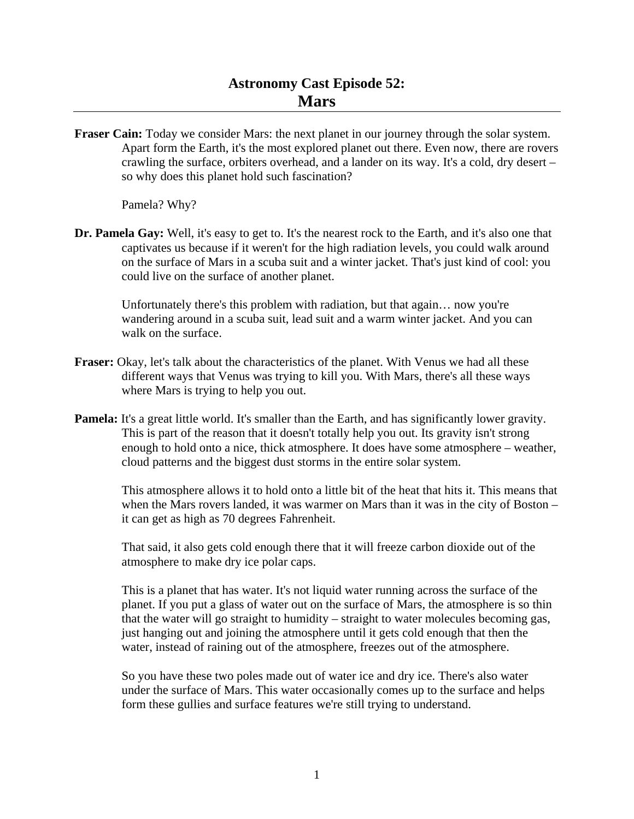**Fraser Cain:** Today we consider Mars: the next planet in our journey through the solar system. Apart form the Earth, it's the most explored planet out there. Even now, there are rovers crawling the surface, orbiters overhead, and a lander on its way. It's a cold, dry desert – so why does this planet hold such fascination?

Pamela? Why?

**Dr. Pamela Gay:** Well, it's easy to get to. It's the nearest rock to the Earth, and it's also one that captivates us because if it weren't for the high radiation levels, you could walk around on the surface of Mars in a scuba suit and a winter jacket. That's just kind of cool: you could live on the surface of another planet.

 Unfortunately there's this problem with radiation, but that again… now you're wandering around in a scuba suit, lead suit and a warm winter jacket. And you can walk on the surface.

- **Fraser:** Okay, let's talk about the characteristics of the planet. With Venus we had all these different ways that Venus was trying to kill you. With Mars, there's all these ways where Mars is trying to help you out.
- **Pamela:** It's a great little world. It's smaller than the Earth, and has significantly lower gravity. This is part of the reason that it doesn't totally help you out. Its gravity isn't strong enough to hold onto a nice, thick atmosphere. It does have some atmosphere – weather, cloud patterns and the biggest dust storms in the entire solar system.

 This atmosphere allows it to hold onto a little bit of the heat that hits it. This means that when the Mars rovers landed, it was warmer on Mars than it was in the city of Boston – it can get as high as 70 degrees Fahrenheit.

 That said, it also gets cold enough there that it will freeze carbon dioxide out of the atmosphere to make dry ice polar caps.

 This is a planet that has water. It's not liquid water running across the surface of the planet. If you put a glass of water out on the surface of Mars, the atmosphere is so thin that the water will go straight to humidity – straight to water molecules becoming gas, just hanging out and joining the atmosphere until it gets cold enough that then the water, instead of raining out of the atmosphere, freezes out of the atmosphere.

 So you have these two poles made out of water ice and dry ice. There's also water under the surface of Mars. This water occasionally comes up to the surface and helps form these gullies and surface features we're still trying to understand.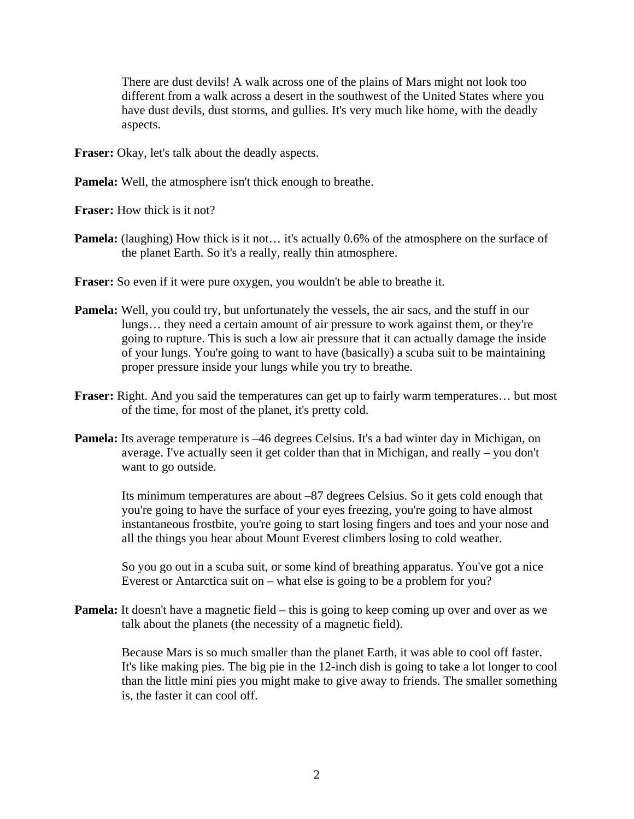There are dust devils! A walk across one of the plains of Mars might not look too different from a walk across a desert in the southwest of the United States where you have dust devils, dust storms, and gullies. It's very much like home, with the deadly aspects.

**Fraser:** Okay, let's talk about the deadly aspects.

**Pamela:** Well, the atmosphere isn't thick enough to breathe.

**Fraser:** How thick is it not?

- **Pamela:** (laughing) How thick is it not... it's actually 0.6% of the atmosphere on the surface of the planet Earth. So it's a really, really thin atmosphere.
- **Fraser:** So even if it were pure oxygen, you wouldn't be able to breathe it.
- **Pamela:** Well, you could try, but unfortunately the vessels, the air sacs, and the stuff in our lungs… they need a certain amount of air pressure to work against them, or they're going to rupture. This is such a low air pressure that it can actually damage the inside of your lungs. You're going to want to have (basically) a scuba suit to be maintaining proper pressure inside your lungs while you try to breathe.
- **Fraser:** Right. And you said the temperatures can get up to fairly warm temperatures… but most of the time, for most of the planet, it's pretty cold.
- **Pamela:** Its average temperature is –46 degrees Celsius. It's a bad winter day in Michigan, on average. I've actually seen it get colder than that in Michigan, and really – you don't want to go outside.

 Its minimum temperatures are about –87 degrees Celsius. So it gets cold enough that you're going to have the surface of your eyes freezing, you're going to have almost instantaneous frostbite, you're going to start losing fingers and toes and your nose and all the things you hear about Mount Everest climbers losing to cold weather.

 So you go out in a scuba suit, or some kind of breathing apparatus. You've got a nice Everest or Antarctica suit on – what else is going to be a problem for you?

**Pamela:** It doesn't have a magnetic field – this is going to keep coming up over and over as we talk about the planets (the necessity of a magnetic field).

 Because Mars is so much smaller than the planet Earth, it was able to cool off faster. It's like making pies. The big pie in the 12-inch dish is going to take a lot longer to cool than the little mini pies you might make to give away to friends. The smaller something is, the faster it can cool off.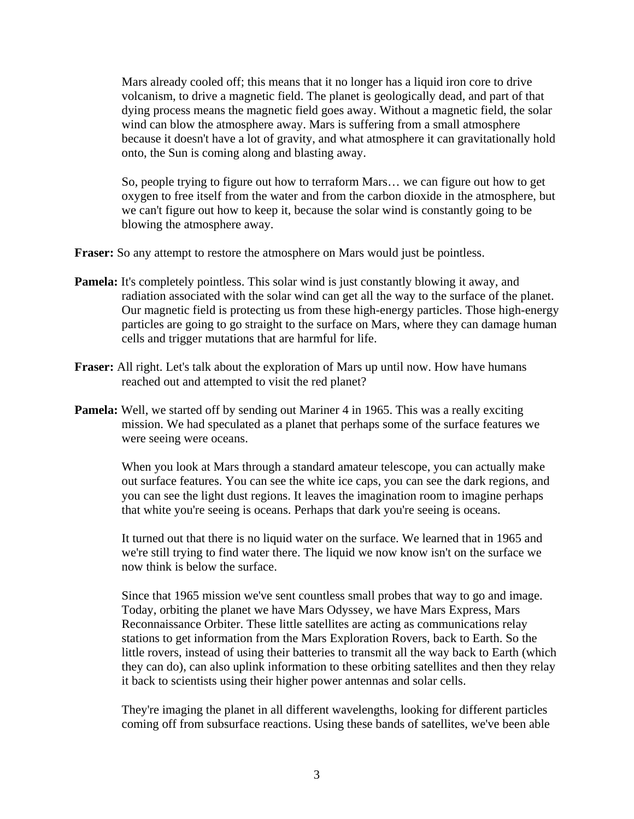Mars already cooled off; this means that it no longer has a liquid iron core to drive volcanism, to drive a magnetic field. The planet is geologically dead, and part of that dying process means the magnetic field goes away. Without a magnetic field, the solar wind can blow the atmosphere away. Mars is suffering from a small atmosphere because it doesn't have a lot of gravity, and what atmosphere it can gravitationally hold onto, the Sun is coming along and blasting away.

 So, people trying to figure out how to terraform Mars… we can figure out how to get oxygen to free itself from the water and from the carbon dioxide in the atmosphere, but we can't figure out how to keep it, because the solar wind is constantly going to be blowing the atmosphere away.

**Fraser:** So any attempt to restore the atmosphere on Mars would just be pointless.

- **Pamela:** It's completely pointless. This solar wind is just constantly blowing it away, and radiation associated with the solar wind can get all the way to the surface of the planet. Our magnetic field is protecting us from these high-energy particles. Those high-energy particles are going to go straight to the surface on Mars, where they can damage human cells and trigger mutations that are harmful for life.
- **Fraser:** All right. Let's talk about the exploration of Mars up until now. How have humans reached out and attempted to visit the red planet?
- **Pamela:** Well, we started off by sending out Mariner 4 in 1965. This was a really exciting mission. We had speculated as a planet that perhaps some of the surface features we were seeing were oceans.

 When you look at Mars through a standard amateur telescope, you can actually make out surface features. You can see the white ice caps, you can see the dark regions, and you can see the light dust regions. It leaves the imagination room to imagine perhaps that white you're seeing is oceans. Perhaps that dark you're seeing is oceans.

 It turned out that there is no liquid water on the surface. We learned that in 1965 and we're still trying to find water there. The liquid we now know isn't on the surface we now think is below the surface.

 Since that 1965 mission we've sent countless small probes that way to go and image. Today, orbiting the planet we have Mars Odyssey, we have Mars Express, Mars Reconnaissance Orbiter. These little satellites are acting as communications relay stations to get information from the Mars Exploration Rovers, back to Earth. So the little rovers, instead of using their batteries to transmit all the way back to Earth (which they can do), can also uplink information to these orbiting satellites and then they relay it back to scientists using their higher power antennas and solar cells.

 They're imaging the planet in all different wavelengths, looking for different particles coming off from subsurface reactions. Using these bands of satellites, we've been able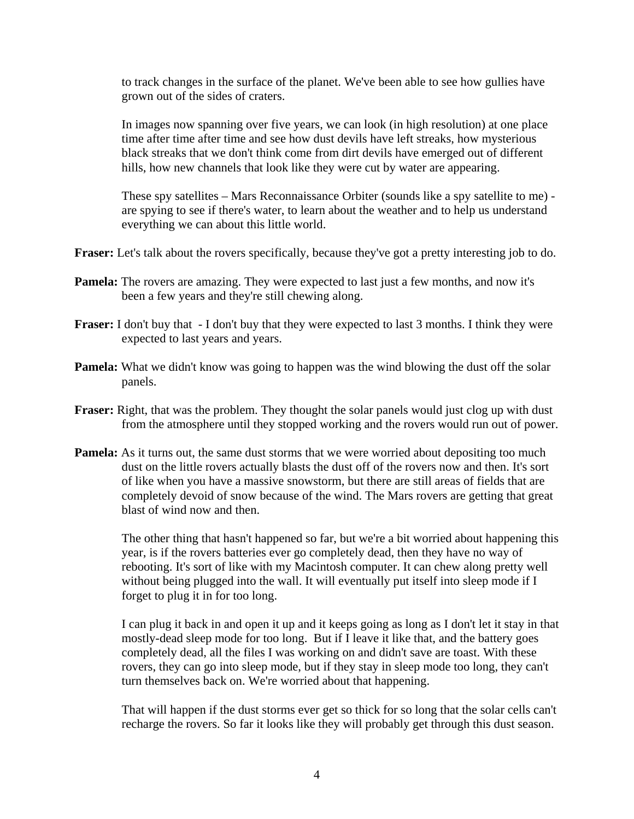to track changes in the surface of the planet. We've been able to see how gullies have grown out of the sides of craters.

 In images now spanning over five years, we can look (in high resolution) at one place time after time after time and see how dust devils have left streaks, how mysterious black streaks that we don't think come from dirt devils have emerged out of different hills, how new channels that look like they were cut by water are appearing.

 These spy satellites – Mars Reconnaissance Orbiter (sounds like a spy satellite to me) are spying to see if there's water, to learn about the weather and to help us understand everything we can about this little world.

**Fraser:** Let's talk about the rovers specifically, because they've got a pretty interesting job to do.

- **Pamela:** The rovers are amazing. They were expected to last just a few months, and now it's been a few years and they're still chewing along.
- **Fraser:** I don't buy that I don't buy that they were expected to last 3 months. I think they were expected to last years and years.
- **Pamela:** What we didn't know was going to happen was the wind blowing the dust off the solar panels.
- **Fraser:** Right, that was the problem. They thought the solar panels would just clog up with dust from the atmosphere until they stopped working and the rovers would run out of power.
- **Pamela:** As it turns out, the same dust storms that we were worried about depositing too much dust on the little rovers actually blasts the dust off of the rovers now and then. It's sort of like when you have a massive snowstorm, but there are still areas of fields that are completely devoid of snow because of the wind. The Mars rovers are getting that great blast of wind now and then.

 The other thing that hasn't happened so far, but we're a bit worried about happening this year, is if the rovers batteries ever go completely dead, then they have no way of rebooting. It's sort of like with my Macintosh computer. It can chew along pretty well without being plugged into the wall. It will eventually put itself into sleep mode if I forget to plug it in for too long.

 I can plug it back in and open it up and it keeps going as long as I don't let it stay in that mostly-dead sleep mode for too long. But if I leave it like that, and the battery goes completely dead, all the files I was working on and didn't save are toast. With these rovers, they can go into sleep mode, but if they stay in sleep mode too long, they can't turn themselves back on. We're worried about that happening.

 That will happen if the dust storms ever get so thick for so long that the solar cells can't recharge the rovers. So far it looks like they will probably get through this dust season.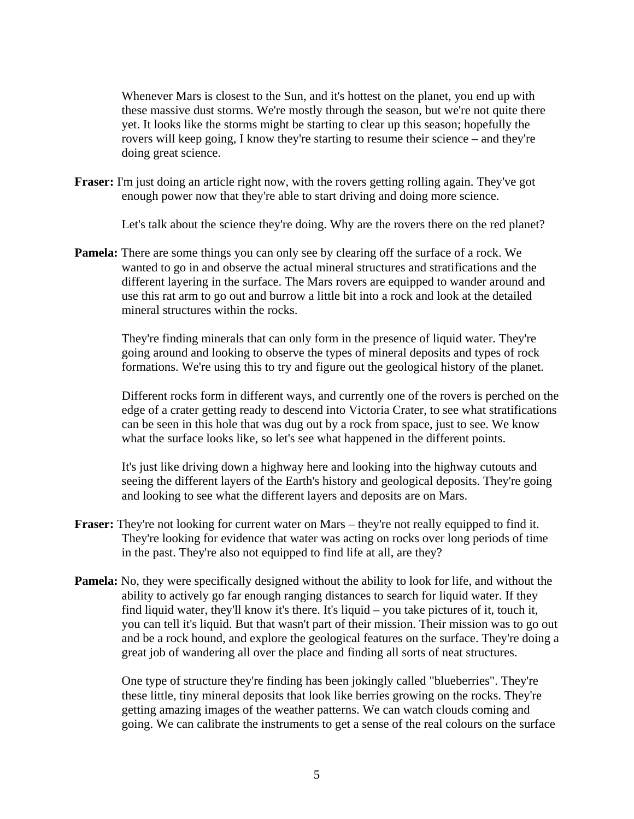Whenever Mars is closest to the Sun, and it's hottest on the planet, you end up with these massive dust storms. We're mostly through the season, but we're not quite there yet. It looks like the storms might be starting to clear up this season; hopefully the rovers will keep going, I know they're starting to resume their science – and they're doing great science.

**Fraser:** I'm just doing an article right now, with the rovers getting rolling again. They've got enough power now that they're able to start driving and doing more science.

Let's talk about the science they're doing. Why are the rovers there on the red planet?

**Pamela:** There are some things you can only see by clearing off the surface of a rock. We wanted to go in and observe the actual mineral structures and stratifications and the different layering in the surface. The Mars rovers are equipped to wander around and use this rat arm to go out and burrow a little bit into a rock and look at the detailed mineral structures within the rocks.

 They're finding minerals that can only form in the presence of liquid water. They're going around and looking to observe the types of mineral deposits and types of rock formations. We're using this to try and figure out the geological history of the planet.

 Different rocks form in different ways, and currently one of the rovers is perched on the edge of a crater getting ready to descend into Victoria Crater, to see what stratifications can be seen in this hole that was dug out by a rock from space, just to see. We know what the surface looks like, so let's see what happened in the different points.

 It's just like driving down a highway here and looking into the highway cutouts and seeing the different layers of the Earth's history and geological deposits. They're going and looking to see what the different layers and deposits are on Mars.

- **Fraser:** They're not looking for current water on Mars they're not really equipped to find it. They're looking for evidence that water was acting on rocks over long periods of time in the past. They're also not equipped to find life at all, are they?
- **Pamela:** No, they were specifically designed without the ability to look for life, and without the ability to actively go far enough ranging distances to search for liquid water. If they find liquid water, they'll know it's there. It's liquid – you take pictures of it, touch it, you can tell it's liquid. But that wasn't part of their mission. Their mission was to go out and be a rock hound, and explore the geological features on the surface. They're doing a great job of wandering all over the place and finding all sorts of neat structures.

 One type of structure they're finding has been jokingly called "blueberries". They're these little, tiny mineral deposits that look like berries growing on the rocks. They're getting amazing images of the weather patterns. We can watch clouds coming and going. We can calibrate the instruments to get a sense of the real colours on the surface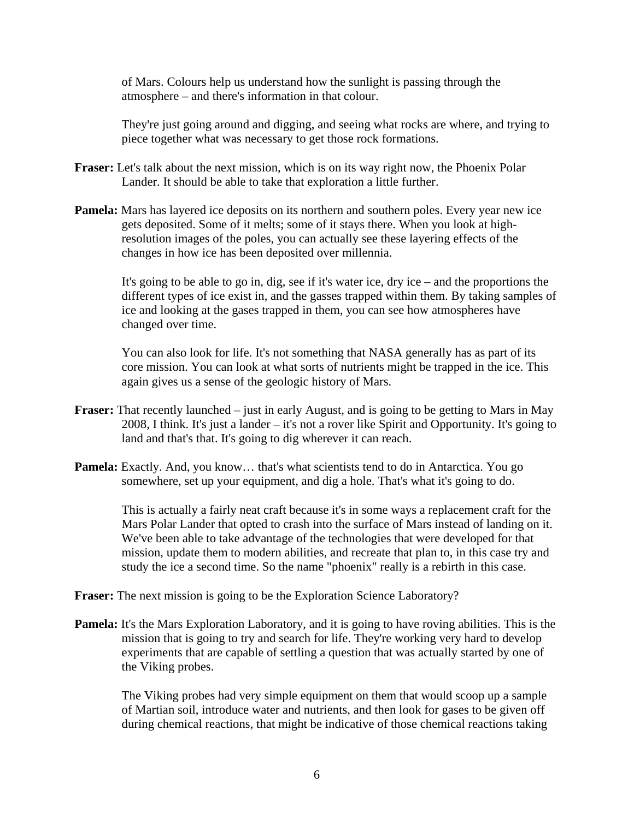of Mars. Colours help us understand how the sunlight is passing through the atmosphere – and there's information in that colour.

 They're just going around and digging, and seeing what rocks are where, and trying to piece together what was necessary to get those rock formations.

- **Fraser:** Let's talk about the next mission, which is on its way right now, the Phoenix Polar Lander. It should be able to take that exploration a little further.
- **Pamela:** Mars has layered ice deposits on its northern and southern poles. Every year new ice gets deposited. Some of it melts; some of it stays there. When you look at highresolution images of the poles, you can actually see these layering effects of the changes in how ice has been deposited over millennia.

 It's going to be able to go in, dig, see if it's water ice, dry ice – and the proportions the different types of ice exist in, and the gasses trapped within them. By taking samples of ice and looking at the gases trapped in them, you can see how atmospheres have changed over time.

 You can also look for life. It's not something that NASA generally has as part of its core mission. You can look at what sorts of nutrients might be trapped in the ice. This again gives us a sense of the geologic history of Mars.

- **Fraser:** That recently launched just in early August, and is going to be getting to Mars in May 2008, I think. It's just a lander – it's not a rover like Spirit and Opportunity. It's going to land and that's that. It's going to dig wherever it can reach.
- **Pamela:** Exactly. And, you know… that's what scientists tend to do in Antarctica. You go somewhere, set up your equipment, and dig a hole. That's what it's going to do.

 This is actually a fairly neat craft because it's in some ways a replacement craft for the Mars Polar Lander that opted to crash into the surface of Mars instead of landing on it. We've been able to take advantage of the technologies that were developed for that mission, update them to modern abilities, and recreate that plan to, in this case try and study the ice a second time. So the name "phoenix" really is a rebirth in this case.

**Fraser:** The next mission is going to be the Exploration Science Laboratory?

**Pamela:** It's the Mars Exploration Laboratory, and it is going to have roving abilities. This is the mission that is going to try and search for life. They're working very hard to develop experiments that are capable of settling a question that was actually started by one of the Viking probes.

 The Viking probes had very simple equipment on them that would scoop up a sample of Martian soil, introduce water and nutrients, and then look for gases to be given off during chemical reactions, that might be indicative of those chemical reactions taking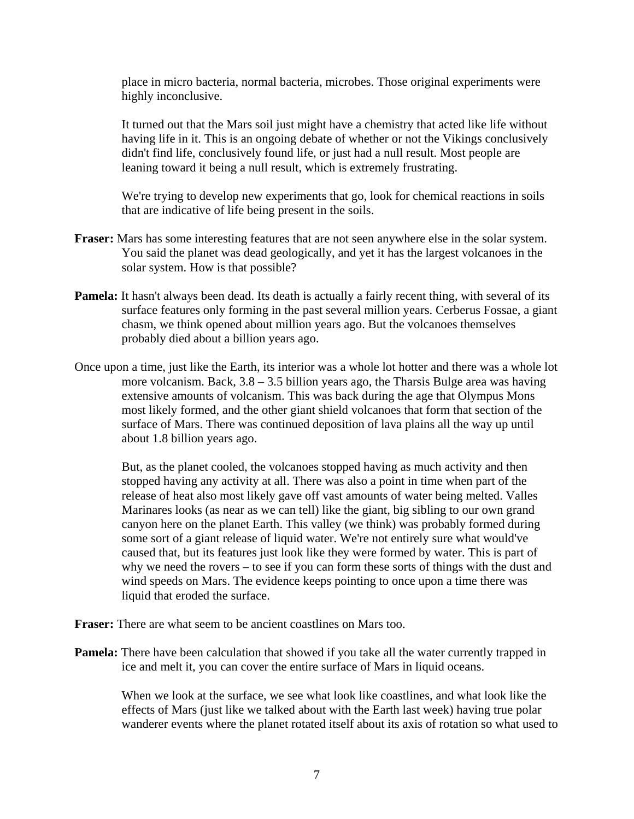place in micro bacteria, normal bacteria, microbes. Those original experiments were highly inconclusive.

 It turned out that the Mars soil just might have a chemistry that acted like life without having life in it. This is an ongoing debate of whether or not the Vikings conclusively didn't find life, conclusively found life, or just had a null result. Most people are leaning toward it being a null result, which is extremely frustrating.

 We're trying to develop new experiments that go, look for chemical reactions in soils that are indicative of life being present in the soils.

- **Fraser:** Mars has some interesting features that are not seen anywhere else in the solar system. You said the planet was dead geologically, and yet it has the largest volcanoes in the solar system. How is that possible?
- **Pamela:** It hasn't always been dead. Its death is actually a fairly recent thing, with several of its surface features only forming in the past several million years. Cerberus Fossae, a giant chasm, we think opened about million years ago. But the volcanoes themselves probably died about a billion years ago.
- Once upon a time, just like the Earth, its interior was a whole lot hotter and there was a whole lot more volcanism. Back, 3.8 – 3.5 billion years ago, the Tharsis Bulge area was having extensive amounts of volcanism. This was back during the age that Olympus Mons most likely formed, and the other giant shield volcanoes that form that section of the surface of Mars. There was continued deposition of lava plains all the way up until about 1.8 billion years ago.

 But, as the planet cooled, the volcanoes stopped having as much activity and then stopped having any activity at all. There was also a point in time when part of the release of heat also most likely gave off vast amounts of water being melted. Valles Marinares looks (as near as we can tell) like the giant, big sibling to our own grand canyon here on the planet Earth. This valley (we think) was probably formed during some sort of a giant release of liquid water. We're not entirely sure what would've caused that, but its features just look like they were formed by water. This is part of why we need the rovers – to see if you can form these sorts of things with the dust and wind speeds on Mars. The evidence keeps pointing to once upon a time there was liquid that eroded the surface.

**Fraser:** There are what seem to be ancient coastlines on Mars too.

**Pamela:** There have been calculation that showed if you take all the water currently trapped in ice and melt it, you can cover the entire surface of Mars in liquid oceans.

 When we look at the surface, we see what look like coastlines, and what look like the effects of Mars (just like we talked about with the Earth last week) having true polar wanderer events where the planet rotated itself about its axis of rotation so what used to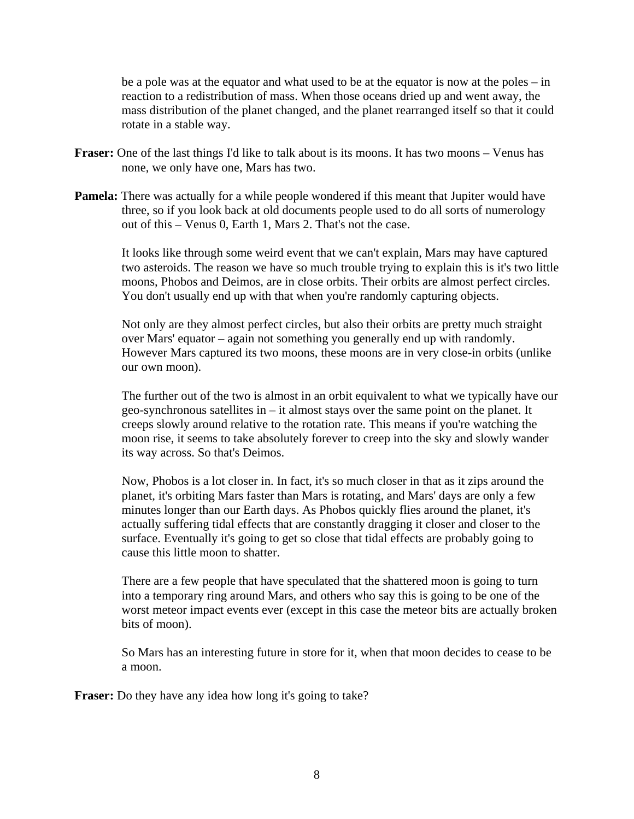be a pole was at the equator and what used to be at the equator is now at the poles – in reaction to a redistribution of mass. When those oceans dried up and went away, the mass distribution of the planet changed, and the planet rearranged itself so that it could rotate in a stable way.

- **Fraser:** One of the last things I'd like to talk about is its moons. It has two moons Venus has none, we only have one, Mars has two.
- **Pamela:** There was actually for a while people wondered if this meant that Jupiter would have three, so if you look back at old documents people used to do all sorts of numerology out of this – Venus 0, Earth 1, Mars 2. That's not the case.

 It looks like through some weird event that we can't explain, Mars may have captured two asteroids. The reason we have so much trouble trying to explain this is it's two little moons, Phobos and Deimos, are in close orbits. Their orbits are almost perfect circles. You don't usually end up with that when you're randomly capturing objects.

 Not only are they almost perfect circles, but also their orbits are pretty much straight over Mars' equator – again not something you generally end up with randomly. However Mars captured its two moons, these moons are in very close-in orbits (unlike our own moon).

 The further out of the two is almost in an orbit equivalent to what we typically have our geo-synchronous satellites in – it almost stays over the same point on the planet. It creeps slowly around relative to the rotation rate. This means if you're watching the moon rise, it seems to take absolutely forever to creep into the sky and slowly wander its way across. So that's Deimos.

 Now, Phobos is a lot closer in. In fact, it's so much closer in that as it zips around the planet, it's orbiting Mars faster than Mars is rotating, and Mars' days are only a few minutes longer than our Earth days. As Phobos quickly flies around the planet, it's actually suffering tidal effects that are constantly dragging it closer and closer to the surface. Eventually it's going to get so close that tidal effects are probably going to cause this little moon to shatter.

 There are a few people that have speculated that the shattered moon is going to turn into a temporary ring around Mars, and others who say this is going to be one of the worst meteor impact events ever (except in this case the meteor bits are actually broken bits of moon).

 So Mars has an interesting future in store for it, when that moon decides to cease to be a moon.

**Fraser:** Do they have any idea how long it's going to take?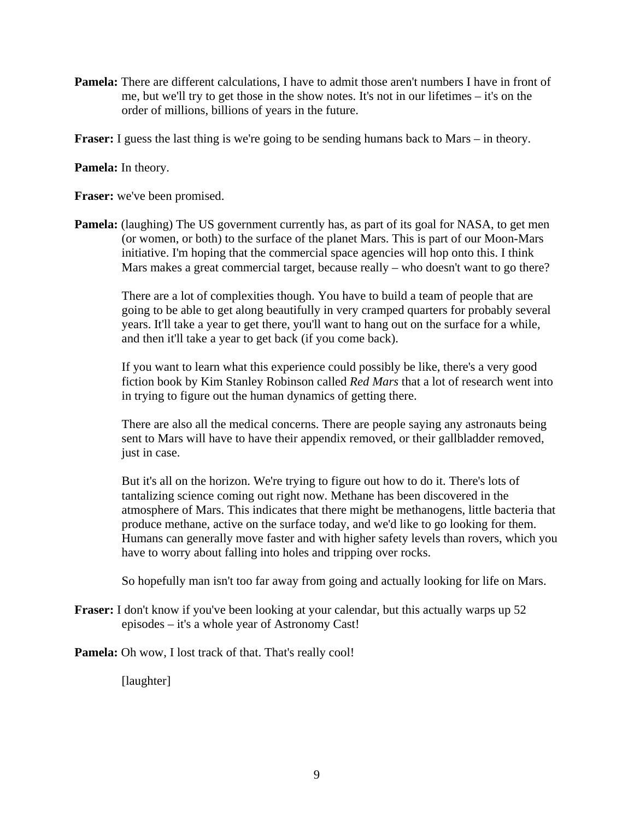**Pamela:** There are different calculations, I have to admit those aren't numbers I have in front of me, but we'll try to get those in the show notes. It's not in our lifetimes – it's on the order of millions, billions of years in the future.

**Fraser:** I guess the last thing is we're going to be sending humans back to Mars – in theory.

**Pamela:** In theory.

**Fraser:** we've been promised.

**Pamela:** (laughing) The US government currently has, as part of its goal for NASA, to get men (or women, or both) to the surface of the planet Mars. This is part of our Moon-Mars initiative. I'm hoping that the commercial space agencies will hop onto this. I think Mars makes a great commercial target, because really – who doesn't want to go there?

 There are a lot of complexities though. You have to build a team of people that are going to be able to get along beautifully in very cramped quarters for probably several years. It'll take a year to get there, you'll want to hang out on the surface for a while, and then it'll take a year to get back (if you come back).

 If you want to learn what this experience could possibly be like, there's a very good fiction book by Kim Stanley Robinson called *Red Mars* that a lot of research went into in trying to figure out the human dynamics of getting there.

 There are also all the medical concerns. There are people saying any astronauts being sent to Mars will have to have their appendix removed, or their gallbladder removed, just in case.

 But it's all on the horizon. We're trying to figure out how to do it. There's lots of tantalizing science coming out right now. Methane has been discovered in the atmosphere of Mars. This indicates that there might be methanogens, little bacteria that produce methane, active on the surface today, and we'd like to go looking for them. Humans can generally move faster and with higher safety levels than rovers, which you have to worry about falling into holes and tripping over rocks.

So hopefully man isn't too far away from going and actually looking for life on Mars.

**Fraser:** I don't know if you've been looking at your calendar, but this actually warps up 52 episodes – it's a whole year of Astronomy Cast!

**Pamela:** Oh wow, I lost track of that. That's really cool!

[laughter]